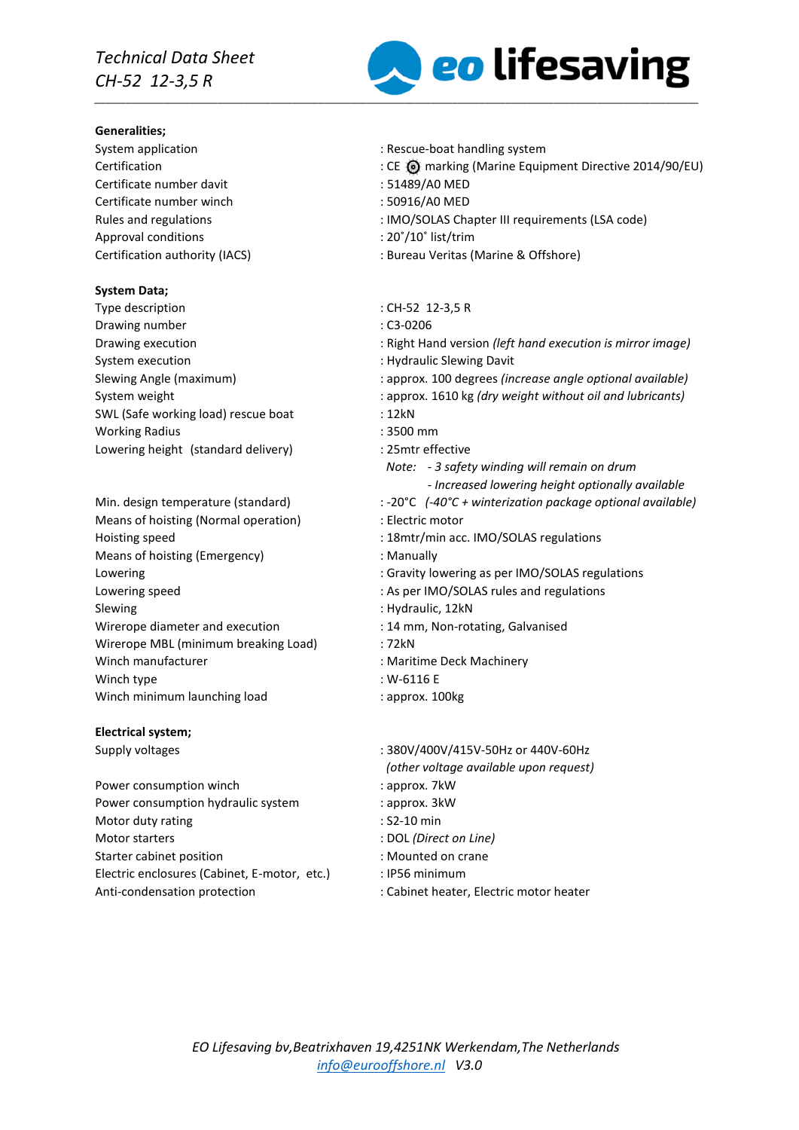# *Technical Data Sheet CH-52 12-3,5 R*

#### **Generalities;**

Certificate number davit : 51489/A0 MED Certificate number winch : 50916/A0 MED Approval conditions  $\cdot$  20°/10° list/trim

## **System Data;**

Type description  $CH-52$  12-3,5 R Drawing number : C3-0206 System execution **System** execution **in the system** of  $\mathbf{S}$  . Hydraulic Slewing Davit SWL (Safe working load) rescue boat : 12kN Working Radius : 3500 mm Lowering height (standard delivery) : 25mtr effective

Means of hoisting (Normal operation) : Electric motor Hoisting speed : 18mtr/min acc. IMO/SOLAS regulations Means of hoisting (Emergency) : Manually Lowering speed  $\blacksquare$ : As per IMO/SOLAS rules and regulations Slewing : Hydraulic, 12kN Wirerope diameter and execution : 14 mm, Non-rotating, Galvanised Wirerope MBL (minimum breaking Load) : 72kN Winch manufacturer **in the COV** is Maritime Deck Machinery Winch type  $\sim$  : W-6116 E Winch minimum launching load : approx. 100kg

## **Electrical system;**

Power consumption winch in the same state of the supprox. 7kW Power consumption hydraulic system : approx. 3kW Motor duty rating example of the state of the S2-10 min Motor starters : DOL *(Direct on Line)* Starter cabinet position **in the case of the case of the case of the case of the case of the case of the case of the case of the case of the case of the case of the case of the case of the case of the case of the case of t** Electric enclosures (Cabinet, E-motor, etc.) : IP56 minimum Anti-condensation protection : Cabinet heater, Electric motor heater



- System application  $\sim$  Rescue-boat handling system
- CE @ marking (Marine Equipment Directive 2014/90/EU) : CE @ marking (Marine Equipment Directive 2014/90/EU)
	-
	-
- Rules and regulations : IMO/SOLAS Chapter III requirements (LSA code)
	-
- Certification authority (IACS) : Bureau Veritas (Marine & Offshore)
	-
	-
- Drawing execution : Right Hand version *(left hand execution is mirror image)*
	-
- Slewing Angle (maximum) : approx. 100 degrees *(increase angle optional available)*
- System weight **induced in the system weight without oil and lubricants**)
	-
	-
	- *Note: - 3 safety winding will remain on drum*
		- *- Increased lowering height optionally available*
- Min. design temperature (standard) : -20°C (-40°C + winterization package optional available)
	-
	-
	-
- Lowering the contract of the contract of Gravity lowering as per IMO/SOLAS regulations
	- -
	-
	-
	-
	-
	-
- Supply voltages : 380V/400V/415V-50Hz or 440V-60Hz *(other voltage available upon request)*
	-